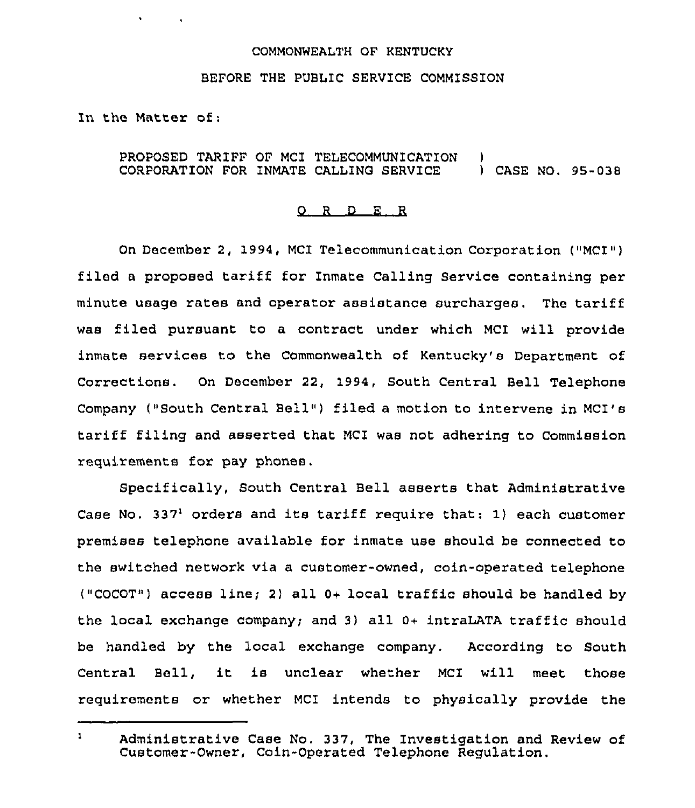## COMMONWEALTH OF KENTUCKY

## BEFORE THE PUBLIC SERVICE COMMISSION

In the Matter of:

 $\mathbf{v} = \mathbf{v} \times \mathbf{v}$  .

## PROPOSED TARIFF OF MCI TELECOMMUNICATION CORPORATION FOR INMATE CALLING SERVICE ) ) CASE NO. 95-038

## 0 <sup>R</sup> <sup>D</sup> E R

On December 2, 1994, MCI Telecommunication Corporation ("MCI") filed <sup>a</sup> proposed tariff for Inmate Calling Service containing per minute usage rates and operator assistance surcharges. The tariff was filed pursuant to a contract under which MCI will provide inmate services to the Commonwealth of Kentucky's Department of Corrections. On December 22, 1994, South Central Bell Telephone Company ("South Central Bell") filed a motion to intervene in MCI's tariff filing and asserted that MCI was not adhering to Commission requirements for pay phones,

Specifically, South Central Bell asserts that Administrative Case No. 337<sup>1</sup> orders and its tariff require that: 1) each customer premises telephone available for inmate use should be connected to the switched network via a customer-owned, coin-operated telephone ("COCOT") access line; 2) all 0+ local traffic should be handled by the local exchange company; and 3) all 0+ intraLATA traffic should be handled by the local exchange company. According to South Central Bell, it is unclear whether MCI will meet those requirements or whether MCI intends to physically provide the

 $\mathbf{1}$ Administrative Case No. 337, The Investigation and Review of Customer-Owner, Coin-Operated Telephone Regulation.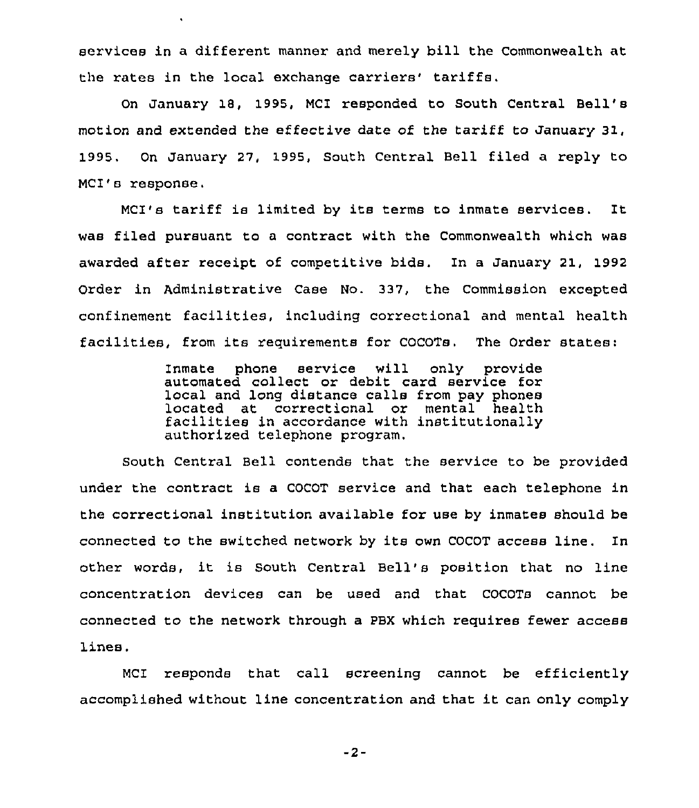services in a different manner and merely bill the Commonwealth at the rates in the local exchange carriers' tariffs.

 $\ddot{\phantom{a}}$ 

On January 18, 1995, MCI responded to South Central Bell'8 motion and extended the effective date of the tariff to January 31, 1995. On January 27, 1995, South Central Bell filed a reply to MCI's response.

MCI's tariff is limited by its terms to inmate services. It was filed pursuant to a contract with the Commonwealth which was awarded after receipt of competitive bids. In a January 21, 1992 Order in Administrative Case No. 337, the Commission excepted confinement facilities, including correctional and mental health facilities, from its requirements for COCOTs. The Order states:

> Inmate phone service will only provide automated collect or debit card service for local and long distance calls from pay phones<br>located at correctional or mental health facilities in accordance with institutionally authorized telephone program.

South Central Bell contends that the service to be provided under the contract is a COCOT service and that each telephone in the correctional institution available for use by inmates should be connected to the switched network by its own COCOT access line. In other words, it is South Central Bell's position that no line concentration devices can be used and that COCOTs cannot be connected to the network through a PBX which requires fewer access lines.

MCI responds that call screening cannot be efficiently accomplished without line concentration and that it can only comply

 $-2-$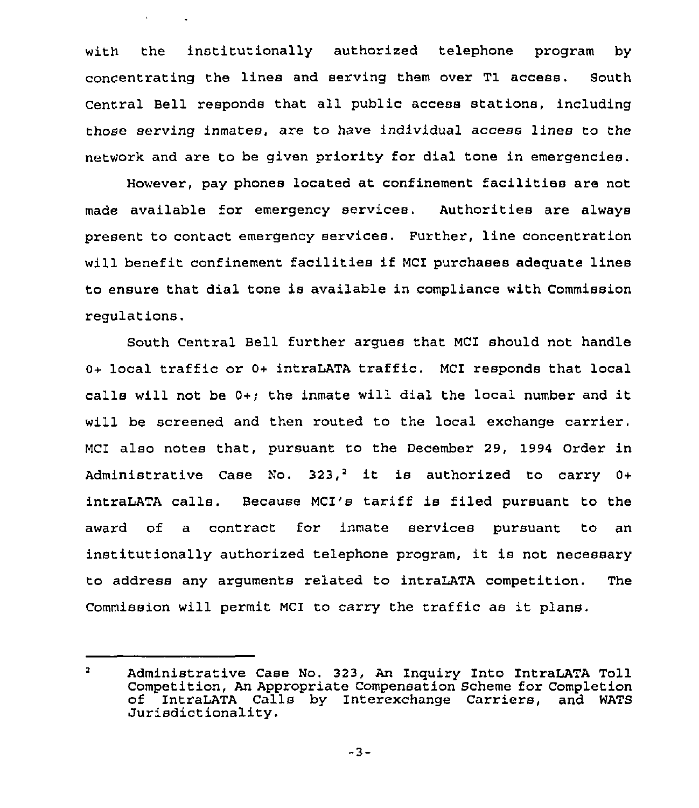with the institutionally authorized telephone program by concentrating the lines and serving them over Tl access. South Central Bell responds that all public access stations, including those serving inmates, are to have individual access lines to the network and are to be given priority for dial tone in emergencies.

 $\mathbf{v} = \mathbf{v} \times \mathbf{v}$  ,  $\mathbf{v} = \mathbf{v} \times \mathbf{v}$ 

However, pay phones located at confinement facilities are not made available for emergency services. Authorities are always present to contact emergency services. Further, line concentration will benefit confinement facilities if MCI purchases adequate lines to ensure that dial tone is available in compliance with Commission regulations.

South Central Bell further argues that MCI should not handle 0+ local traffic or 0+ intraLATA traffic. MCI responds that local calls will not be 0+; the inmate will dial the local number and it will be screened and then routed to the local exchange carrier. MCI also notes that, pursuant to the December 29, 1994 Order in Administrative Case No.  $323<sup>2</sup>$  it is authorized to carry 0+ intraLATA calls. Because MCI's tariff is filed pursuant to the award of a contract for inmate services pursuant to an institutionally authorized telephone program, it is not necessary to address any arguments related to intraLATA competition. The Commission will permit MCI to carry the traffic as it plans.

 $-3-$ 

 $\mathbf{z}$ Administrative Case No. 323, An Inquiry Into IntraLATA Toll Competition, An Appropriate Compensation Scheme for Completion of IntraLATA Calls by Interexchange Carriers,<br>Jurisdictionality.